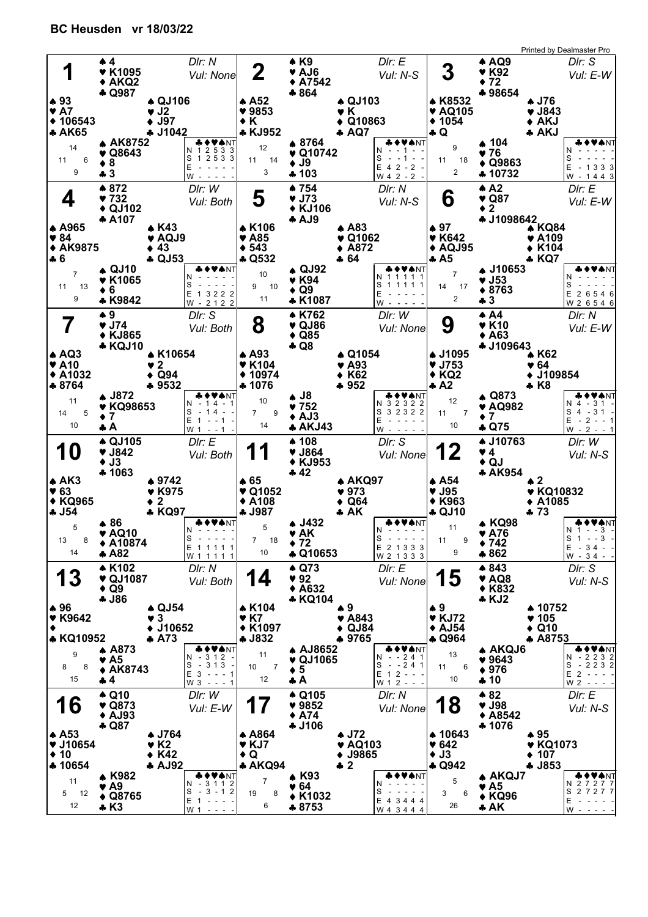